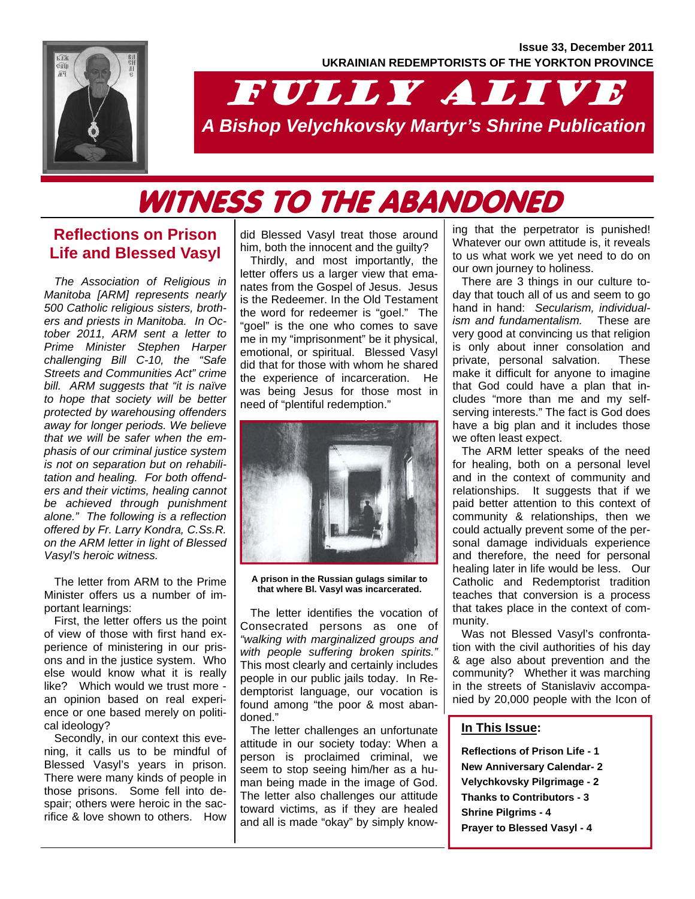

# FULLY ALIVE *A Bishop Velychkovsky Martyr's Shrine Publication*

# WITNESS TO THE ABANDONED

## **Reflections on Prison Life and Blessed Vasyl**

*The Association of Religious in Manitoba [ARM] represents nearly 500 Catholic religious sisters, brothers and priests in Manitoba. In October 2011, ARM sent a letter to Prime Minister Stephen Harper challenging Bill C-10, the "Safe Streets and Communities Act" crime bill. ARM suggests that "it is naïve to hope that society will be better protected by warehousing offenders away for longer periods. We believe that we will be safer when the emphasis of our criminal justice system is not on separation but on rehabilitation and healing. For both offenders and their victims, healing cannot be achieved through punishment alone." The following is a reflection offered by Fr. Larry Kondra, C.Ss.R. on the ARM letter in light of Blessed Vasyl's heroic witness.* 

The letter from ARM to the Prime Minister offers us a number of important learnings:

First, the letter offers us the point of view of those with first hand experience of ministering in our prisons and in the justice system. Who else would know what it is really like? Which would we trust more an opinion based on real experience or one based merely on political ideology?

Secondly, in our context this evening, it calls us to be mindful of Blessed Vasyl's years in prison. There were many kinds of people in those prisons. Some fell into despair; others were heroic in the sacrifice & love shown to others. How

did Blessed Vasyl treat those around him, both the innocent and the guilty?

Thirdly, and most importantly, the letter offers us a larger view that emanates from the Gospel of Jesus. Jesus is the Redeemer. In the Old Testament the word for redeemer is "goel." The "goel" is the one who comes to save me in my "imprisonment" be it physical, emotional, or spiritual. Blessed Vasyl did that for those with whom he shared the experience of incarceration. He was being Jesus for those most in need of "plentiful redemption."



**A prison in the Russian gulags similar to that where Bl. Vasyl was incarcerated.** 

The letter identifies the vocation of Consecrated persons as one of *"walking with marginalized groups and with people suffering broken spirits."*  This most clearly and certainly includes people in our public jails today. In Redemptorist language, our vocation is found among "the poor & most abandoned."

The letter challenges an unfortunate attitude in our society today: When a person is proclaimed criminal, we seem to stop seeing him/her as a human being made in the image of God. The letter also challenges our attitude toward victims, as if they are healed and all is made "okay" by simply know-

ing that the perpetrator is punished! Whatever our own attitude is, it reveals to us what work we yet need to do on our own journey to holiness.

There are 3 things in our culture today that touch all of us and seem to go hand in hand: *Secularism, individualism and fundamentalism.* These are very good at convincing us that religion is only about inner consolation and private, personal salvation. These make it difficult for anyone to imagine that God could have a plan that includes "more than me and my selfserving interests." The fact is God does have a big plan and it includes those we often least expect.

The ARM letter speaks of the need for healing, both on a personal level and in the context of community and relationships. It suggests that if we paid better attention to this context of community & relationships, then we could actually prevent some of the personal damage individuals experience and therefore, the need for personal healing later in life would be less. Our Catholic and Redemptorist tradition teaches that conversion is a process that takes place in the context of community.

Was not Blessed Vasyl's confrontation with the civil authorities of his day & age also about prevention and the community? Whether it was marching in the streets of Stanislaviv accompanied by 20,000 people with the Icon of

#### **In This Issue:**

**Reflections of Prison Life - 1 New Anniversary Calendar- 2 Velychkovsky Pilgrimage - 2 Thanks to Contributors - 3 Shrine Pilgrims - 4 Prayer to Blessed Vasyl - 4**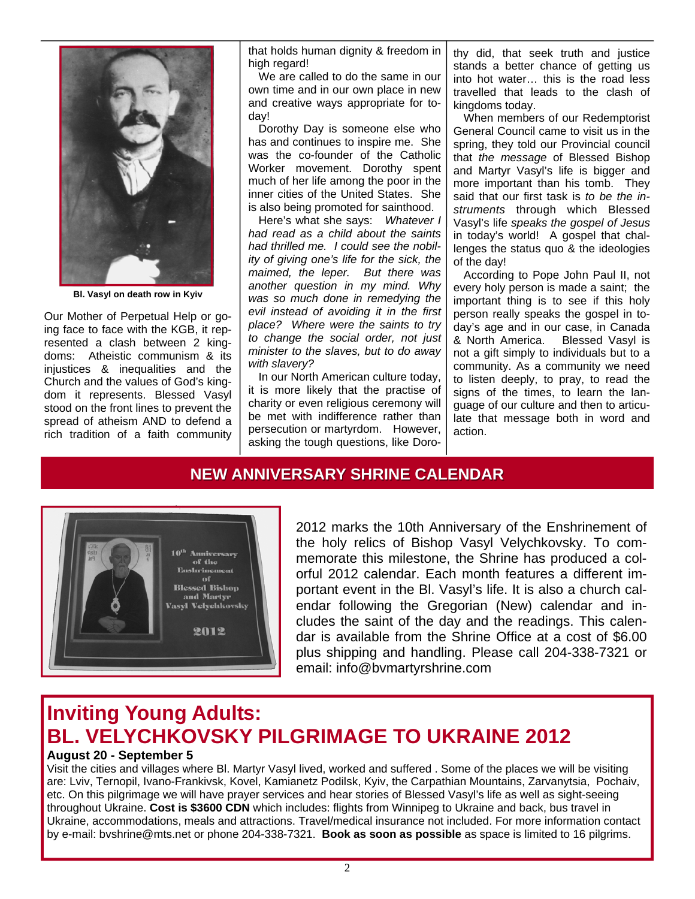

**Bl. Vasyl on death row in Kyiv** 

Our Mother of Perpetual Help or going face to face with the KGB, it represented a clash between 2 kingdoms: Atheistic communism & its injustices & inequalities and the Church and the values of God's kingdom it represents. Blessed Vasyl stood on the front lines to prevent the spread of atheism AND to defend a rich tradition of a faith community

that holds human dignity & freedom in high regard!

We are called to do the same in our own time and in our own place in new and creative ways appropriate for today!

Dorothy Day is someone else who has and continues to inspire me. She was the co-founder of the Catholic Worker movement. Dorothy spent much of her life among the poor in the inner cities of the United States. She is also being promoted for sainthood.

Here's what she says: *Whatever I had read as a child about the saints had thrilled me. I could see the nobility of giving one's life for the sick, the maimed, the leper. But there was another question in my mind. Why was so much done in remedying the evil instead of avoiding it in the first place? Where were the saints to try to change the social order, not just minister to the slaves, but to do away with slavery?*

In our North American culture today, it is more likely that the practise of charity or even religious ceremony will be met with indifference rather than persecution or martyrdom. However, asking the tough questions, like Dorothy did, that seek truth and justice stands a better chance of getting us into hot water… this is the road less travelled that leads to the clash of kingdoms today.

When members of our Redemptorist General Council came to visit us in the spring, they told our Provincial council that *the message* of Blessed Bishop and Martyr Vasyl's life is bigger and more important than his tomb. They said that our first task is *to be the instruments* through which Blessed Vasyl's life *speaks the gospel of Jesus* in today's world! A gospel that challenges the status quo & the ideologies of the day!

According to Pope John Paul II, not every holy person is made a saint; the important thing is to see if this holy person really speaks the gospel in today's age and in our case, in Canada & North America. Blessed Vasyl is not a gift simply to individuals but to a community. As a community we need to listen deeply, to pray, to read the signs of the times, to learn the language of our culture and then to articulate that message both in word and action.

### **NEW ANNIVERSARY SHRINE CALENDAR NEW ANNIVERSARY SHRINE CALENDAR**



2012 marks the 10th Anniversary of the Enshrinement of the holy relics of Bishop Vasyl Velychkovsky. To commemorate this milestone, the Shrine has produced a colorful 2012 calendar. Each month features a different important event in the Bl. Vasyl's life. It is also a church calendar following the Gregorian (New) calendar and includes the saint of the day and the readings. This calendar is available from the Shrine Office at a cost of \$6.00 plus shipping and handling. Please call 204-338-7321 or email: info@bvmartyrshrine.com

## **Inviting Young Adults: BL. VELYCHKOVSKY PILGRIMAGE TO UKRAINE 2012**

#### **August 20 - September 5**

Visit the cities and villages where Bl. Martyr Vasyl lived, worked and suffered . Some of the places we will be visiting are: Lviv, Ternopil, Ivano-Frankivsk, Kovel, Kamianetz Podilsk, Kyiv, the Carpathian Mountains, Zarvanytsia, Pochaiv, etc. On this pilgrimage we will have prayer services and hear stories of Blessed Vasyl's life as well as sight-seeing throughout Ukraine. **Cost is \$3600 CDN** which includes: flights from Winnipeg to Ukraine and back, bus travel in Ukraine, accommodations, meals and attractions. Travel/medical insurance not included. For more information contact by e-mail: bvshrine@mts.net or phone 204-338-7321. **Book as soon as possible** as space is limited to 16 pilgrims.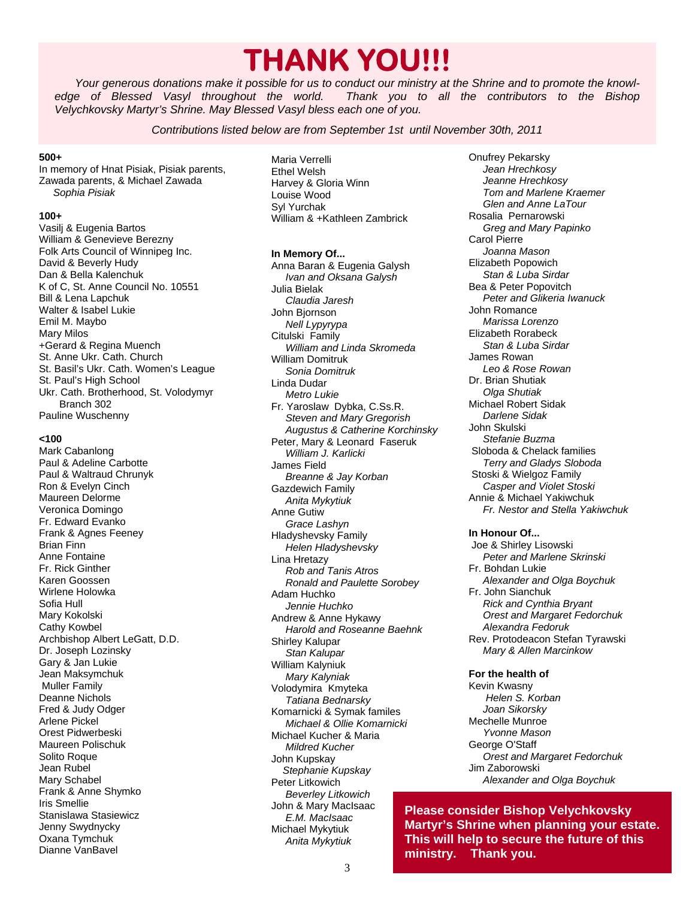## **THANK YOU!!!**

*Your generous donations make it possible for us to conduct our ministry at the Shrine and to promote the knowledge of Blessed Vasyl throughout the world. Thank you to all the contributors to the Bishop Velychkovsky Martyr's Shrine. May Blessed Vasyl bless each one of you.* 

*Contributions listed below are from September 1st until November 30th, 2011* 

#### **500+**

In memory of Hnat Pisiak, Pisiak parents, Zawada parents, & Michael Zawada  *Sophia Pisiak* 

#### **100+**

Vasilj & Eugenia Bartos William & Genevieve Berezny Folk Arts Council of Winnipeg Inc. David & Beverly Hudy Dan & Bella Kalenchuk K of C, St. Anne Council No. 10551 Bill & Lena Lapchuk Walter & Isabel Lukie Emil M. Maybo Mary Milos +Gerard & Regina Muench St. Anne Ukr. Cath. Church St. Basil's Ukr. Cath. Women's League St. Paul's High School Ukr. Cath. Brotherhood, St. Volodymyr Branch 302 Pauline Wuschenny

#### **<100**

Mark Cabanlong Paul & Adeline Carbotte Paul & Waltraud Chrunyk Ron & Evelyn Cinch Maureen Delorme Veronica Domingo Fr. Edward Evanko Frank & Agnes Feeney Brian Finn Anne Fontaine Fr. Rick Ginther Karen Goossen Wirlene Holowka Sofia Hull Mary Kokolski Cathy Kowbel Archbishop Albert LeGatt, D.D. Dr. Joseph Lozinsky Gary & Jan Lukie Jean Maksymchuk Muller Family Deanne Nichols Fred & Judy Odger Arlene Pickel Orest Pidwerbeski Maureen Polischuk Solito Roque Jean Rubel Mary Schabel Frank & Anne Shymko Iris Smellie Stanislawa Stasiewicz Jenny Swydnycky Oxana Tymchuk Dianne VanBavel

Maria Verrelli Ethel Welsh Harvey & Gloria Winn Louise Wood Syl Yurchak William & +Kathleen Zambrick

## **In Memory Of...**

Anna Baran & Eugenia Galysh  *Ivan and Oksana Galysh*  Julia Bielak  *Claudia Jaresh*  John Bjornson  *Nell Lypyrypa*  Citulski Family  *William and Linda Skromeda*  William Domitruk *Sonia Domitruk*  Linda Dudar  *Metro Lukie*  Fr. Yaroslaw Dybka, C.Ss.R.  *Steven and Mary Gregorish Augustus & Catherine Korchinsky*  Peter, Mary & Leonard Faseruk  *William J. Karlicki*  James Field  *Breanne & Jay Korban*  Gazdewich Family  *Anita Mykytiuk*  Anne Gutiw *Grace Lashyn*  Hladyshevsky Family  *Helen Hladyshevsky*  Lina Hretazy  *Rob and Tanis Atros Ronald and Paulette Sorobey*  Adam Huchko  *Jennie Huchko*  Andrew & Anne Hykawy  *Harold and Roseanne Baehnk*  Shirley Kalupar  *Stan Kalupar*  William Kalyniuk  *Mary Kalyniak*  Volodymira Kmyteka  *Tatiana Bednarsky*  Komarnicki & Symak familes *Michael & Ollie Komarnicki*  Michael Kucher & Maria *Mildred Kucher*  John Kupskay *Stephanie Kupskay*  Peter Litkowich  *Beverley Litkowich*  John & Mary MacIsaac  *E.M. MacIsaac*  Michael Mykytiuk  *Anita Mykytiuk* 

Onufrey Pekarsky  *Jean Hrechkosy Jeanne Hrechkosy Tom and Marlene Kraemer Glen and Anne LaTour*  Rosalia Pernarowski  *Greg and Mary Papinko*  Carol Pierre  *Joanna Mason*  Elizabeth Popowich *Stan & Luba Sirdar*  Bea & Peter Popovitch  *Peter and Glikeria Iwanuck*  John Romance  *Marissa Lorenzo*  Elizabeth Rorabeck  *Stan & Luba Sirdar*  James Rowan  *Leo & Rose Rowan*  Dr. Brian Shutiak  *Olga Shutiak*  Michael Robert Sidak  *Darlene Sidak*  John Skulski  *Stefanie Buzma*  Sloboda & Chelack families  *Terry and Gladys Sloboda*  Stoski & Wielgoz Family  *Casper and Violet Stoski*  Annie & Michael Yakiwchuk  *Fr. Nestor and Stella Yakiwchuk* 

#### **In Honour Of...**

 Joe & Shirley Lisowski  *Peter and Marlene Skrinski*  Fr. Bohdan Lukie  *Alexander and Olga Boychuk*  Fr. John Sianchuk  *Rick and Cynthia Bryant Orest and Margaret Fedorchuk Alexandra Fedoruk*  Rev. Protodeacon Stefan Tyrawski *Mary & Allen Marcinkow* 

#### **For the health of**

Kevin Kwasny *Helen S. Korban Joan Sikorsky*  Mechelle Munroe  *Yvonne Mason*  George O'Staff  *Orest and Margaret Fedorchuk*  Jim Zaborowski  *Alexander and Olga Boychuk* 

**Please consider Bishop Velychkovsky Martyr's Shrine when planning your estate. This will help to secure the future of this ministry. Thank you.**